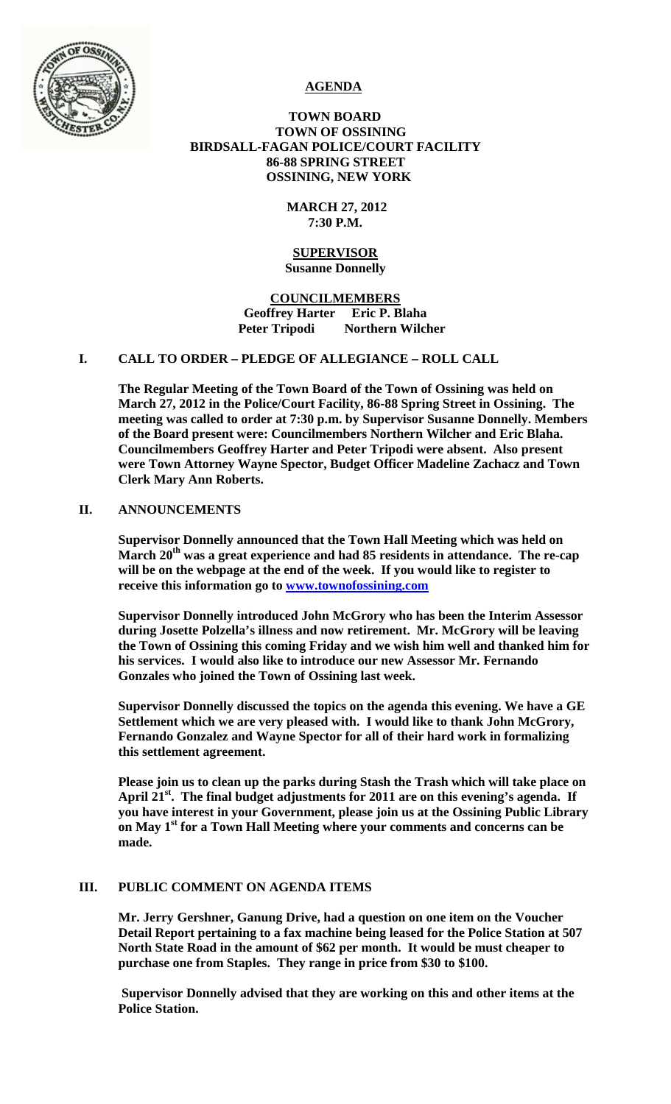

# **AGENDA**

# **TOWN BOARD TOWN OF OSSINING BIRDSALL-FAGAN POLICE/COURT FACILITY 86-88 SPRING STREET OSSINING, NEW YORK**

# **MARCH 27, 2012 7:30 P.M.**

#### **SUPERVISOR Susanne Donnelly**

# **COUNCILMEMBERS Geoffrey Harter Eric P. Blaha Peter Tripodi Northern Wilcher**

# **I. CALL TO ORDER – PLEDGE OF ALLEGIANCE – ROLL CALL**

**The Regular Meeting of the Town Board of the Town of Ossining was held on March 27, 2012 in the Police/Court Facility, 86-88 Spring Street in Ossining. The meeting was called to order at 7:30 p.m. by Supervisor Susanne Donnelly. Members of the Board present were: Councilmembers Northern Wilcher and Eric Blaha. Councilmembers Geoffrey Harter and Peter Tripodi were absent. Also present were Town Attorney Wayne Spector, Budget Officer Madeline Zachacz and Town Clerk Mary Ann Roberts.**

# **II. ANNOUNCEMENTS**

**Supervisor Donnelly announced that the Town Hall Meeting which was held on**  March 20<sup>th</sup> was a great experience and had 85 residents in attendance. The re-cap **will be on the webpage at the end of the week. If you would like to register to receive this information go to [www.townofossining.com](http://www.townofossining.com/)**

**Supervisor Donnelly introduced John McGrory who has been the Interim Assessor during Josette Polzella's illness and now retirement. Mr. McGrory will be leaving the Town of Ossining this coming Friday and we wish him well and thanked him for his services. I would also like to introduce our new Assessor Mr. Fernando Gonzales who joined the Town of Ossining last week.** 

**Supervisor Donnelly discussed the topics on the agenda this evening. We have a GE Settlement which we are very pleased with. I would like to thank John McGrory, Fernando Gonzalez and Wayne Spector for all of their hard work in formalizing this settlement agreement.** 

**Please join us to clean up the parks during Stash the Trash which will take place on**  April 21<sup>st</sup>. The final budget adjustments for 2011 are on this evening's agenda. If **you have interest in your Government, please join us at the Ossining Public Library on May 1st for a Town Hall Meeting where your comments and concerns can be made.**

# **III. PUBLIC COMMENT ON AGENDA ITEMS**

**Mr. Jerry Gershner, Ganung Drive, had a question on one item on the Voucher Detail Report pertaining to a fax machine being leased for the Police Station at 507 North State Road in the amount of \$62 per month. It would be must cheaper to purchase one from Staples. They range in price from \$30 to \$100.**

**Supervisor Donnelly advised that they are working on this and other items at the Police Station.**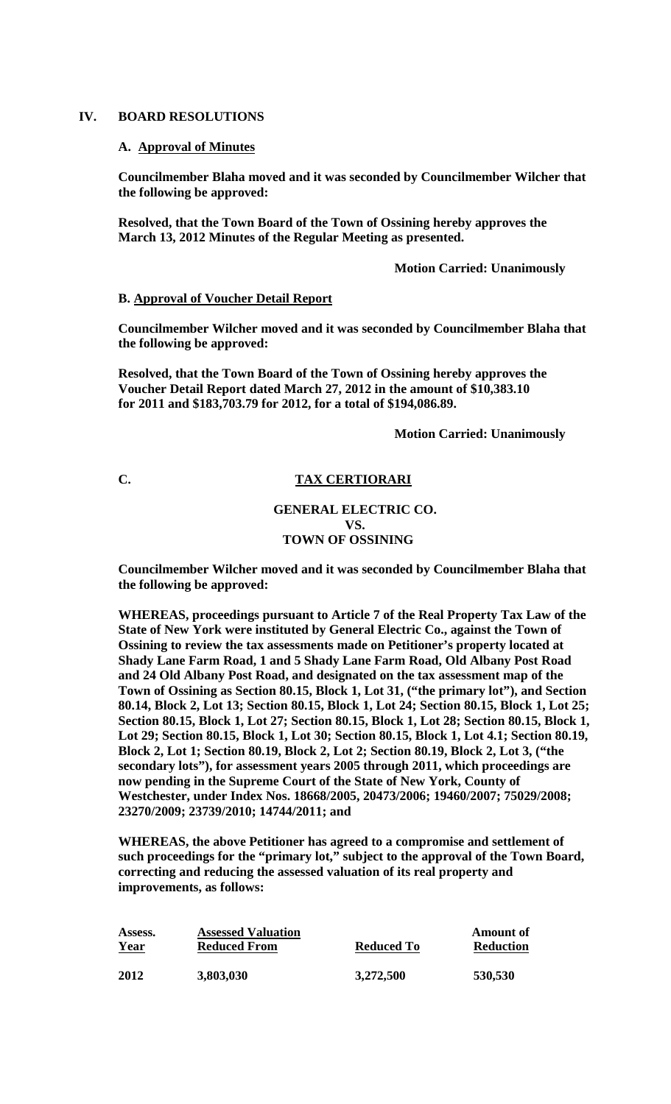#### **IV. BOARD RESOLUTIONS**

#### **A. Approval of Minutes**

**Councilmember Blaha moved and it was seconded by Councilmember Wilcher that the following be approved:**

**Resolved, that the Town Board of the Town of Ossining hereby approves the March 13, 2012 Minutes of the Regular Meeting as presented.**

**Motion Carried: Unanimously**

#### **B. Approval of Voucher Detail Report**

**Councilmember Wilcher moved and it was seconded by Councilmember Blaha that the following be approved:**

**Resolved, that the Town Board of the Town of Ossining hereby approves the Voucher Detail Report dated March 27, 2012 in the amount of \$10,383.10 for 2011 and \$183,703.79 for 2012, for a total of \$194,086.89.**

**Motion Carried: Unanimously**

# **C. TAX CERTIORARI**

#### **GENERAL ELECTRIC CO. VS. TOWN OF OSSINING**

**Councilmember Wilcher moved and it was seconded by Councilmember Blaha that the following be approved:**

**WHEREAS, proceedings pursuant to Article 7 of the Real Property Tax Law of the State of New York were instituted by General Electric Co., against the Town of Ossining to review the tax assessments made on Petitioner's property located at Shady Lane Farm Road, 1 and 5 Shady Lane Farm Road, Old Albany Post Road and 24 Old Albany Post Road, and designated on the tax assessment map of the Town of Ossining as Section 80.15, Block 1, Lot 31, ("the primary lot"), and Section 80.14, Block 2, Lot 13; Section 80.15, Block 1, Lot 24; Section 80.15, Block 1, Lot 25; Section 80.15, Block 1, Lot 27; Section 80.15, Block 1, Lot 28; Section 80.15, Block 1, Lot 29; Section 80.15, Block 1, Lot 30; Section 80.15, Block 1, Lot 4.1; Section 80.19, Block 2, Lot 1; Section 80.19, Block 2, Lot 2; Section 80.19, Block 2, Lot 3, ("the secondary lots"), for assessment years 2005 through 2011, which proceedings are now pending in the Supreme Court of the State of New York, County of Westchester, under Index Nos. 18668/2005, 20473/2006; 19460/2007; 75029/2008; 23270/2009; 23739/2010; 14744/2011; and** 

**WHEREAS, the above Petitioner has agreed to a compromise and settlement of such proceedings for the "primary lot," subject to the approval of the Town Board, correcting and reducing the assessed valuation of its real property and improvements, as follows:** 

| Assess.     | <b>Assessed Valuation</b> | Reduced To | Amount of        |
|-------------|---------------------------|------------|------------------|
| <b>Year</b> | <b>Reduced From</b>       |            | <b>Reduction</b> |
| 2012        | 3,803,030                 | 3,272,500  | 530,530          |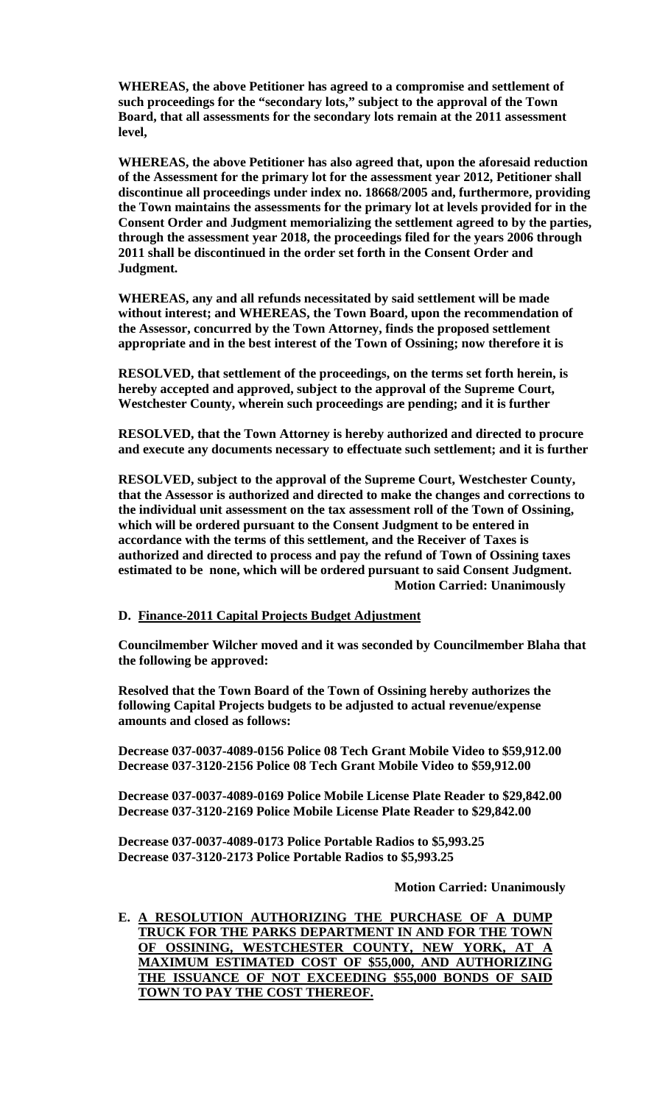**WHEREAS, the above Petitioner has agreed to a compromise and settlement of such proceedings for the "secondary lots," subject to the approval of the Town Board, that all assessments for the secondary lots remain at the 2011 assessment level,** 

**WHEREAS, the above Petitioner has also agreed that, upon the aforesaid reduction of the Assessment for the primary lot for the assessment year 2012, Petitioner shall discontinue all proceedings under index no. 18668/2005 and, furthermore, providing the Town maintains the assessments for the primary lot at levels provided for in the Consent Order and Judgment memorializing the settlement agreed to by the parties, through the assessment year 2018, the proceedings filed for the years 2006 through 2011 shall be discontinued in the order set forth in the Consent Order and Judgment.** 

**WHEREAS, any and all refunds necessitated by said settlement will be made without interest; and WHEREAS, the Town Board, upon the recommendation of the Assessor, concurred by the Town Attorney, finds the proposed settlement appropriate and in the best interest of the Town of Ossining; now therefore it is** 

**RESOLVED, that settlement of the proceedings, on the terms set forth herein, is hereby accepted and approved, subject to the approval of the Supreme Court, Westchester County, wherein such proceedings are pending; and it is further** 

**RESOLVED, that the Town Attorney is hereby authorized and directed to procure and execute any documents necessary to effectuate such settlement; and it is further** 

**RESOLVED, subject to the approval of the Supreme Court, Westchester County, that the Assessor is authorized and directed to make the changes and corrections to the individual unit assessment on the tax assessment roll of the Town of Ossining, which will be ordered pursuant to the Consent Judgment to be entered in accordance with the terms of this settlement, and the Receiver of Taxes is authorized and directed to process and pay the refund of Town of Ossining taxes estimated to be none, which will be ordered pursuant to said Consent Judgment. Motion Carried: Unanimously**

#### **D. Finance-2011 Capital Projects Budget Adjustment**

**Councilmember Wilcher moved and it was seconded by Councilmember Blaha that the following be approved:**

**Resolved that the Town Board of the Town of Ossining hereby authorizes the following Capital Projects budgets to be adjusted to actual revenue/expense amounts and closed as follows:**

**Decrease 037-0037-4089-0156 Police 08 Tech Grant Mobile Video to \$59,912.00 Decrease 037-3120-2156 Police 08 Tech Grant Mobile Video to \$59,912.00**

**Decrease 037-0037-4089-0169 Police Mobile License Plate Reader to \$29,842.00 Decrease 037-3120-2169 Police Mobile License Plate Reader to \$29,842.00**

**Decrease 037-0037-4089-0173 Police Portable Radios to \$5,993.25 Decrease 037-3120-2173 Police Portable Radios to \$5,993.25**

#### **Motion Carried: Unanimously**

**E. A RESOLUTION AUTHORIZING THE PURCHASE OF A DUMP TRUCK FOR THE PARKS DEPARTMENT IN AND FOR THE TOWN OF OSSINING, WESTCHESTER COUNTY, NEW YORK, AT A MAXIMUM ESTIMATED COST OF \$55,000, AND AUTHORIZING THE ISSUANCE OF NOT EXCEEDING \$55,000 BONDS OF SAID TOWN TO PAY THE COST THEREOF.**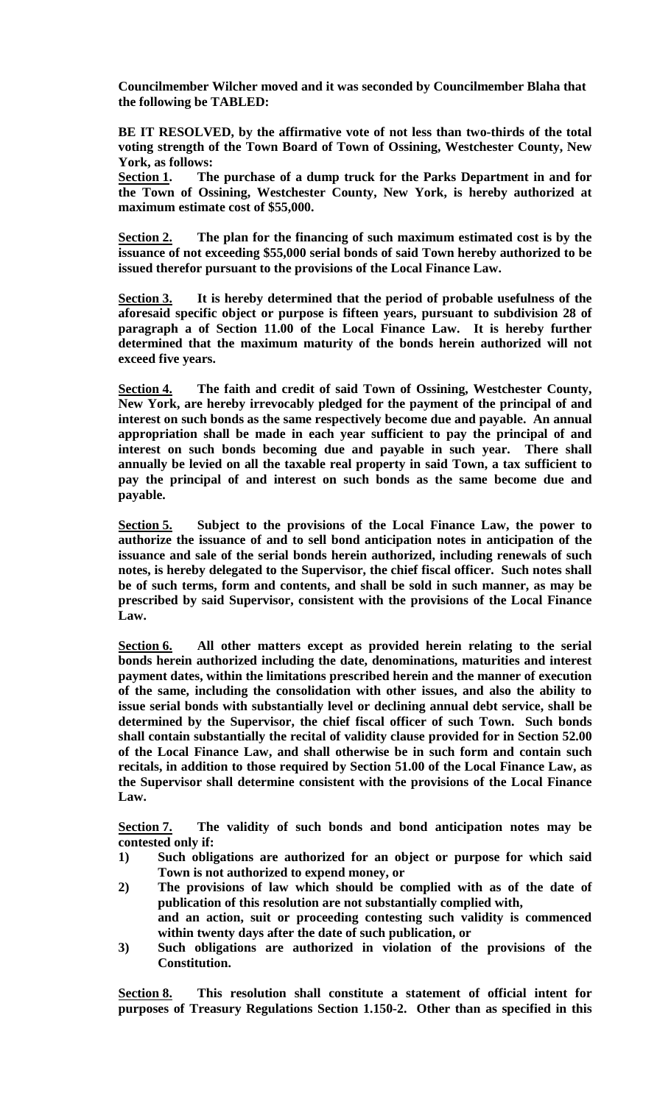**Councilmember Wilcher moved and it was seconded by Councilmember Blaha that the following be TABLED:**

**BE IT RESOLVED, by the affirmative vote of not less than two-thirds of the total voting strength of the Town Board of Town of Ossining, Westchester County, New York, as follows:**

**Section 1. The purchase of a dump truck for the Parks Department in and for the Town of Ossining, Westchester County, New York, is hereby authorized at maximum estimate cost of \$55,000.** 

**Section 2. The plan for the financing of such maximum estimated cost is by the issuance of not exceeding \$55,000 serial bonds of said Town hereby authorized to be issued therefor pursuant to the provisions of the Local Finance Law.**

**Section 3. It is hereby determined that the period of probable usefulness of the aforesaid specific object or purpose is fifteen years, pursuant to subdivision 28 of paragraph a of Section 11.00 of the Local Finance Law. It is hereby further determined that the maximum maturity of the bonds herein authorized will not exceed five years.**

**Section 4. The faith and credit of said Town of Ossining, Westchester County, New York, are hereby irrevocably pledged for the payment of the principal of and interest on such bonds as the same respectively become due and payable. An annual appropriation shall be made in each year sufficient to pay the principal of and interest on such bonds becoming due and payable in such year. There shall annually be levied on all the taxable real property in said Town, a tax sufficient to pay the principal of and interest on such bonds as the same become due and payable.**

**Section 5. Subject to the provisions of the Local Finance Law, the power to authorize the issuance of and to sell bond anticipation notes in anticipation of the issuance and sale of the serial bonds herein authorized, including renewals of such notes, is hereby delegated to the Supervisor, the chief fiscal officer. Such notes shall be of such terms, form and contents, and shall be sold in such manner, as may be prescribed by said Supervisor, consistent with the provisions of the Local Finance Law.**

**Section 6. All other matters except as provided herein relating to the serial bonds herein authorized including the date, denominations, maturities and interest payment dates, within the limitations prescribed herein and the manner of execution of the same, including the consolidation with other issues, and also the ability to issue serial bonds with substantially level or declining annual debt service, shall be determined by the Supervisor, the chief fiscal officer of such Town. Such bonds shall contain substantially the recital of validity clause provided for in Section 52.00 of the Local Finance Law, and shall otherwise be in such form and contain such recitals, in addition to those required by Section 51.00 of the Local Finance Law, as the Supervisor shall determine consistent with the provisions of the Local Finance Law.**

**Section 7. The validity of such bonds and bond anticipation notes may be contested only if:**

- **1) Such obligations are authorized for an object or purpose for which said Town is not authorized to expend money, or**
- **2) The provisions of law which should be complied with as of the date of publication of this resolution are not substantially complied with,**
- **and an action, suit or proceeding contesting such validity is commenced within twenty days after the date of such publication, or**
- **3) Such obligations are authorized in violation of the provisions of the Constitution.**

**Section 8. This resolution shall constitute a statement of official intent for purposes of Treasury Regulations Section 1.150-2. Other than as specified in this**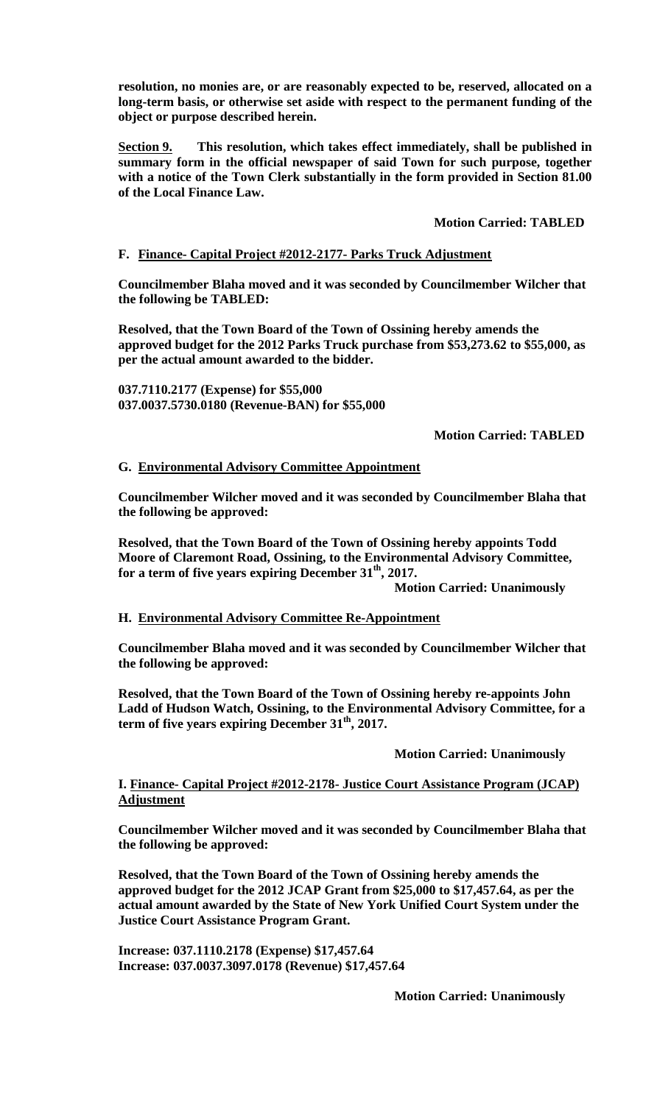**resolution, no monies are, or are reasonably expected to be, reserved, allocated on a long-term basis, or otherwise set aside with respect to the permanent funding of the object or purpose described herein.**

**Section 9. This resolution, which takes effect immediately, shall be published in summary form in the official newspaper of said Town for such purpose, together with a notice of the Town Clerk substantially in the form provided in Section 81.00 of the Local Finance Law.**

# **Motion Carried: TABLED**

# **F. Finance- Capital Project #2012-2177- Parks Truck Adjustment**

**Councilmember Blaha moved and it was seconded by Councilmember Wilcher that the following be TABLED:**

**Resolved, that the Town Board of the Town of Ossining hereby amends the approved budget for the 2012 Parks Truck purchase from \$53,273.62 to \$55,000, as per the actual amount awarded to the bidder.**

**037.7110.2177 (Expense) for \$55,000 037.0037.5730.0180 (Revenue-BAN) for \$55,000**

# **Motion Carried: TABLED**

## **G. Environmental Advisory Committee Appointment**

**Councilmember Wilcher moved and it was seconded by Councilmember Blaha that the following be approved:**

**Resolved, that the Town Board of the Town of Ossining hereby appoints Todd Moore of Claremont Road, Ossining, to the Environmental Advisory Committee, for a term of five years expiring December 31th, 2017.**

**Motion Carried: Unanimously**

#### **H. Environmental Advisory Committee Re-Appointment**

**Councilmember Blaha moved and it was seconded by Councilmember Wilcher that the following be approved:**

**Resolved, that the Town Board of the Town of Ossining hereby re-appoints John Ladd of Hudson Watch, Ossining, to the Environmental Advisory Committee, for a**  term of five years expiring December 31<sup>th</sup>, 2017.

# **Motion Carried: Unanimously**

## **I. Finance- Capital Project #2012-2178- Justice Court Assistance Program (JCAP) Adjustment**

**Councilmember Wilcher moved and it was seconded by Councilmember Blaha that the following be approved:**

**Resolved, that the Town Board of the Town of Ossining hereby amends the approved budget for the 2012 JCAP Grant from \$25,000 to \$17,457.64, as per the actual amount awarded by the State of New York Unified Court System under the Justice Court Assistance Program Grant.**

**Increase: 037.1110.2178 (Expense) \$17,457.64 Increase: 037.0037.3097.0178 (Revenue) \$17,457.64**

**Motion Carried: Unanimously**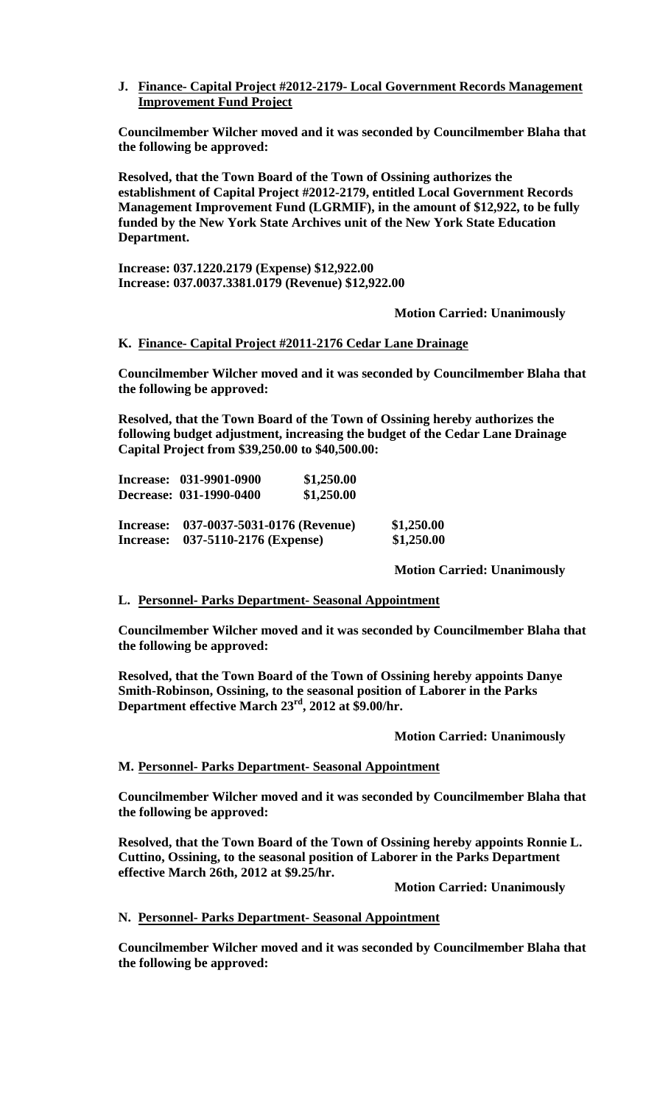# **J. Finance- Capital Project #2012-2179- Local Government Records Management Improvement Fund Project**

**Councilmember Wilcher moved and it was seconded by Councilmember Blaha that the following be approved:**

**Resolved, that the Town Board of the Town of Ossining authorizes the establishment of Capital Project #2012-2179, entitled Local Government Records Management Improvement Fund (LGRMIF), in the amount of \$12,922, to be fully funded by the New York State Archives unit of the New York State Education Department.**

**Increase: 037.1220.2179 (Expense) \$12,922.00 Increase: 037.0037.3381.0179 (Revenue) \$12,922.00**

**Motion Carried: Unanimously**

# **K. Finance- Capital Project #2011-2176 Cedar Lane Drainage**

**Councilmember Wilcher moved and it was seconded by Councilmember Blaha that the following be approved:**

**Resolved, that the Town Board of the Town of Ossining hereby authorizes the following budget adjustment, increasing the budget of the Cedar Lane Drainage Capital Project from \$39,250.00 to \$40,500.00:**

| Increase: 031-9901-0900                | \$1,250.00 |            |
|----------------------------------------|------------|------------|
| Decrease: 031-1990-0400                | \$1,250.00 |            |
| Increase: 037-0037-5031-0176 (Revenue) |            | \$1,250.00 |
| Increase: 037-5110-2176 (Expense)      |            | \$1,250.00 |

**Motion Carried: Unanimously**

#### **L. Personnel- Parks Department- Seasonal Appointment**

**Councilmember Wilcher moved and it was seconded by Councilmember Blaha that the following be approved:**

**Resolved, that the Town Board of the Town of Ossining hereby appoints Danye Smith-Robinson, Ossining, to the seasonal position of Laborer in the Parks Department effective March 23rd, 2012 at \$9.00/hr.**

 **Motion Carried: Unanimously**

#### **M. Personnel- Parks Department- Seasonal Appointment**

**Councilmember Wilcher moved and it was seconded by Councilmember Blaha that the following be approved:**

**Resolved, that the Town Board of the Town of Ossining hereby appoints Ronnie L. Cuttino, Ossining, to the seasonal position of Laborer in the Parks Department effective March 26th, 2012 at \$9.25/hr.**

**Motion Carried: Unanimously**

#### **N. Personnel- Parks Department- Seasonal Appointment**

**Councilmember Wilcher moved and it was seconded by Councilmember Blaha that the following be approved:**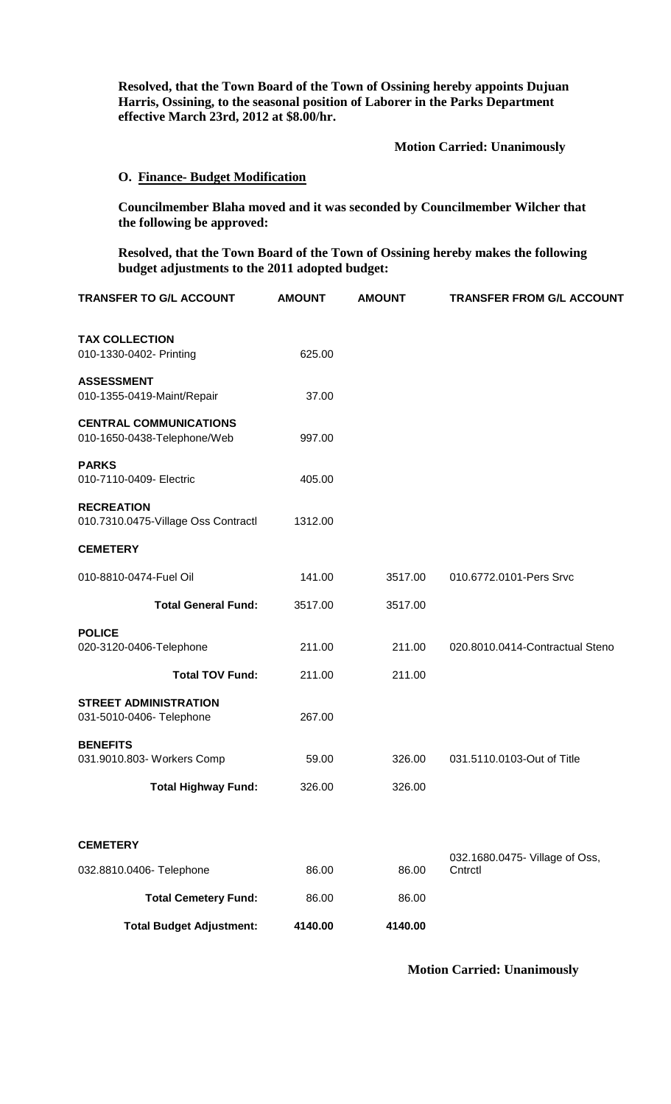**Resolved, that the Town Board of the Town of Ossining hereby appoints Dujuan Harris, Ossining, to the seasonal position of Laborer in the Parks Department effective March 23rd, 2012 at \$8.00/hr.**

 **Motion Carried: Unanimously**

## **O. Finance- Budget Modification**

**Councilmember Blaha moved and it was seconded by Councilmember Wilcher that the following be approved:**

**Resolved, that the Town Board of the Town of Ossining hereby makes the following budget adjustments to the 2011 adopted budget:**

| <b>AMOUNT</b> | <b>AMOUNT</b> | <b>TRANSFER FROM G/L ACCOUNT</b>          |
|---------------|---------------|-------------------------------------------|
| 625.00        |               |                                           |
| 37.00         |               |                                           |
| 997.00        |               |                                           |
| 405.00        |               |                                           |
| 1312.00       |               |                                           |
|               |               |                                           |
| 141.00        | 3517.00       | 010.6772.0101-Pers Srvc                   |
| 3517.00       | 3517.00       |                                           |
| 211.00        | 211.00        | 020.8010.0414-Contractual Steno           |
| 211.00        | 211.00        |                                           |
| 267.00        |               |                                           |
| 59.00         | 326.00        | 031.5110.0103-Out of Title                |
| 326.00        | 326.00        |                                           |
|               |               |                                           |
| 86.00         | 86.00         | 032.1680.0475- Village of Oss,<br>Cntrctl |
| 86.00         | 86.00         |                                           |
| 4140.00       | 4140.00       |                                           |
|               |               |                                           |

## **Motion Carried: Unanimously**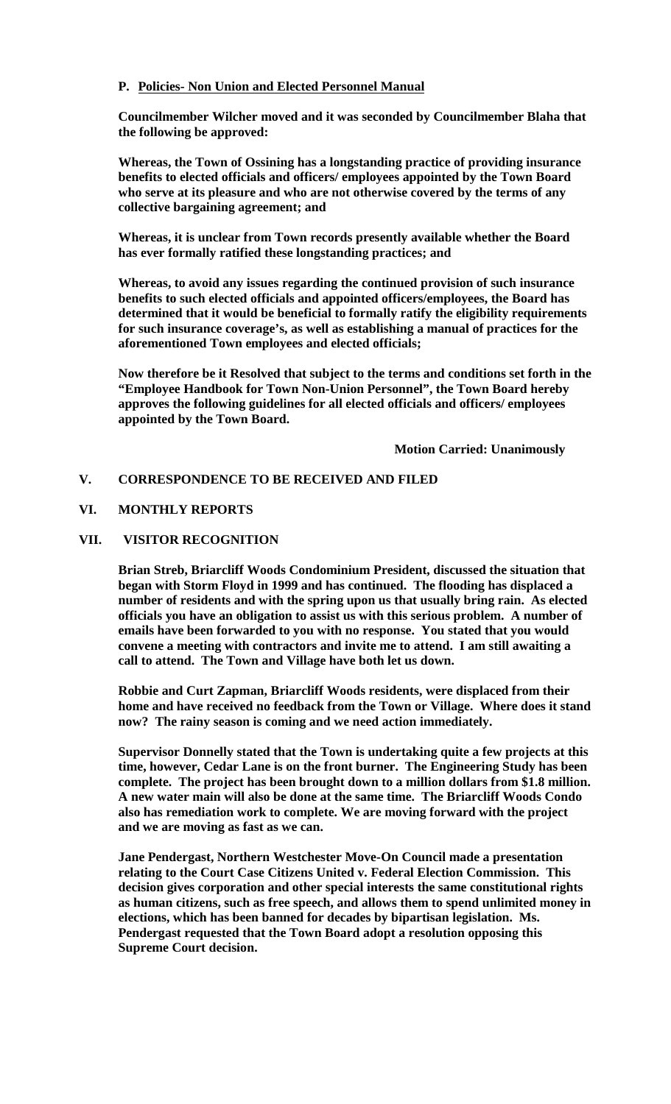# **P. Policies- Non Union and Elected Personnel Manual**

**Councilmember Wilcher moved and it was seconded by Councilmember Blaha that the following be approved:**

**Whereas, the Town of Ossining has a longstanding practice of providing insurance benefits to elected officials and officers/ employees appointed by the Town Board who serve at its pleasure and who are not otherwise covered by the terms of any collective bargaining agreement; and**

**Whereas, it is unclear from Town records presently available whether the Board has ever formally ratified these longstanding practices; and**

**Whereas, to avoid any issues regarding the continued provision of such insurance benefits to such elected officials and appointed officers/employees, the Board has determined that it would be beneficial to formally ratify the eligibility requirements for such insurance coverage's, as well as establishing a manual of practices for the aforementioned Town employees and elected officials;**

**Now therefore be it Resolved that subject to the terms and conditions set forth in the "Employee Handbook for Town Non-Union Personnel", the Town Board hereby approves the following guidelines for all elected officials and officers/ employees appointed by the Town Board.**

**Motion Carried: Unanimously**

# **V. CORRESPONDENCE TO BE RECEIVED AND FILED**

# **VI. MONTHLY REPORTS**

# **VII. VISITOR RECOGNITION**

**Brian Streb, Briarcliff Woods Condominium President, discussed the situation that began with Storm Floyd in 1999 and has continued. The flooding has displaced a number of residents and with the spring upon us that usually bring rain. As elected officials you have an obligation to assist us with this serious problem. A number of emails have been forwarded to you with no response. You stated that you would convene a meeting with contractors and invite me to attend. I am still awaiting a call to attend. The Town and Village have both let us down.**

**Robbie and Curt Zapman, Briarcliff Woods residents, were displaced from their home and have received no feedback from the Town or Village. Where does it stand now? The rainy season is coming and we need action immediately.**

**Supervisor Donnelly stated that the Town is undertaking quite a few projects at this time, however, Cedar Lane is on the front burner. The Engineering Study has been complete. The project has been brought down to a million dollars from \$1.8 million. A new water main will also be done at the same time. The Briarcliff Woods Condo also has remediation work to complete. We are moving forward with the project and we are moving as fast as we can.** 

**Jane Pendergast, Northern Westchester Move-On Council made a presentation relating to the Court Case Citizens United v. Federal Election Commission. This decision gives corporation and other special interests the same constitutional rights as human citizens, such as free speech, and allows them to spend unlimited money in elections, which has been banned for decades by bipartisan legislation. Ms. Pendergast requested that the Town Board adopt a resolution opposing this Supreme Court decision.**